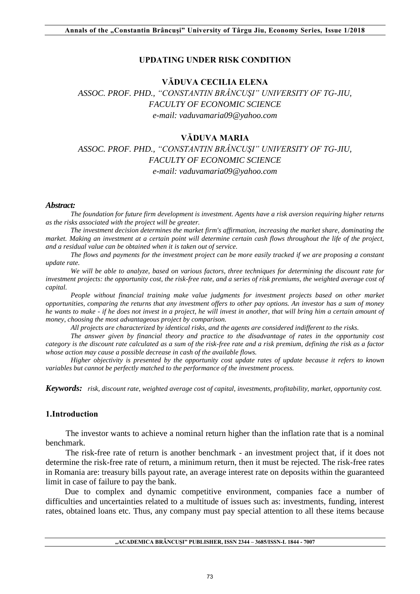# **UPDATING UNDER RISK CONDITION**

# **VĂDUVA CECILIA ELENA**

*ASSOC. PROF. PHD., "CONSTANTIN BRÂNCUŞI" UNIVERSITY OF TG-JIU, FACULTY OF ECONOMIC SCIENCE e-mail: vaduvamaria09@yahoo.com* 

# **VĂDUVA MARIA**

*ASSOC. PROF. PHD., "CONSTANTIN BRÂNCUŞI" UNIVERSITY OF TG-JIU, FACULTY OF ECONOMIC SCIENCE e-mail: vaduvamaria09@yahoo.com* 

#### *Abstract:*

*The foundation for future firm development is investment. Agents have a risk aversion requiring higher returns as the risks associated with the project will be greater.* 

*The investment decision determines the market firm's affirmation, increasing the market share, dominating the market. Making an investment at a certain point will determine certain cash flows throughout the life of the project, and a residual value can be obtained when it is taken out of service.* 

*The flows and payments for the investment project can be more easily tracked if we are proposing a constant update rate.* 

*We will be able to analyze, based on various factors, three techniques for determining the discount rate for investment projects: the opportunity cost, the risk-free rate, and a series of risk premiums, the weighted average cost of capital.* 

*People without financial training make value judgments for investment projects based on other market opportunities, comparing the returns that any investment offers to other pay options. An investor has a sum of money he wants to make - if he does not invest in a project, he will invest in another, that will bring him a certain amount of money, choosing the most advantageous project by comparison.* 

*All projects are characterized by identical risks, and the agents are considered indifferent to the risks.* 

*The answer given by financial theory and practice to the disadvantage of rates in the opportunity cost category is the discount rate calculated as a sum of the risk-free rate and a risk premium, defining the risk as a factor whose action may cause a possible decrease in cash of the available flows.* 

*Higher objectivity is presented by the opportunity cost update rates of update because it refers to known variables but cannot be perfectly matched to the performance of the investment process.* 

*Keywords: risk, discount rate, weighted average cost of capital, investments, profitability, market, opportunity cost.* 

#### **1.Introduction**

The investor wants to achieve a nominal return higher than the inflation rate that is a nominal benchmark.

The risk-free rate of return is another benchmark - an investment project that, if it does not determine the risk-free rate of return, a minimum return, then it must be rejected. The risk-free rates in Romania are: treasury bills payout rate, an average interest rate on deposits within the guaranteed limit in case of failure to pay the bank.

Due to complex and dynamic competitive environment, companies face a number of difficulties and uncertainties related to a multitude of issues such as: investments, funding, interest rates, obtained loans etc. Thus, any company must pay special attention to all these items because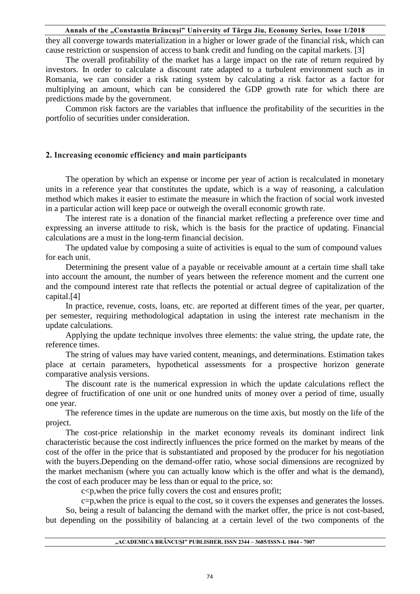they all converge towards materialization in a higher or lower grade of the financial risk, which can cause restriction or suspension of access to bank credit and funding on the capital markets. [3]

The overall profitability of the market has a large impact on the rate of return required by investors. In order to calculate a discount rate adapted to a turbulent environment such as in Romania, we can consider a risk rating system by calculating a risk factor as a factor for multiplying an amount, which can be considered the GDP growth rate for which there are predictions made by the government.

Common risk factors are the variables that influence the profitability of the securities in the portfolio of securities under consideration.

# **2. Increasing economic efficiency and main participants**

The operation by which an expense or income per year of action is recalculated in monetary units in a reference year that constitutes the update, which is a way of reasoning, a calculation method which makes it easier to estimate the measure in which the fraction of social work invested in a particular action will keep pace or outweigh the overall economic growth rate.

The interest rate is a donation of the financial market reflecting a preference over time and expressing an inverse attitude to risk, which is the basis for the practice of updating. Financial calculations are a must in the long-term financial decision.

The updated value by composing a suite of activities is equal to the sum of compound values for each unit.

Determining the present value of a payable or receivable amount at a certain time shall take into account the amount, the number of years between the reference moment and the current one and the compound interest rate that reflects the potential or actual degree of capitalization of the capital.[4]

In practice, revenue, costs, loans, etc. are reported at different times of the year, per quarter, per semester, requiring methodological adaptation in using the interest rate mechanism in the update calculations.

Applying the update technique involves three elements: the value string, the update rate, the reference times.

The string of values may have varied content, meanings, and determinations. Estimation takes place at certain parameters, hypothetical assessments for a prospective horizon generate comparative analysis versions.

The discount rate is the numerical expression in which the update calculations reflect the degree of fructification of one unit or one hundred units of money over a period of time, usually one year.

The reference times in the update are numerous on the time axis, but mostly on the life of the project.

The cost-price relationship in the market economy reveals its dominant indirect link characteristic because the cost indirectly influences the price formed on the market by means of the cost of the offer in the price that is substantiated and proposed by the producer for his negotiation with the buyers.Depending on the demand-offer ratio, whose social dimensions are recognized by the market mechanism (where you can actually know which is the offer and what is the demand), the cost of each producer may be less than or equal to the price, so:

 $c$ <p, when the price fully covers the cost and ensures profit;

c=p,when the price is equal to the cost, so it covers the expenses and generates the losses.

So, being a result of balancing the demand with the market offer, the price is not cost-based, but depending on the possibility of balancing at a certain level of the two components of the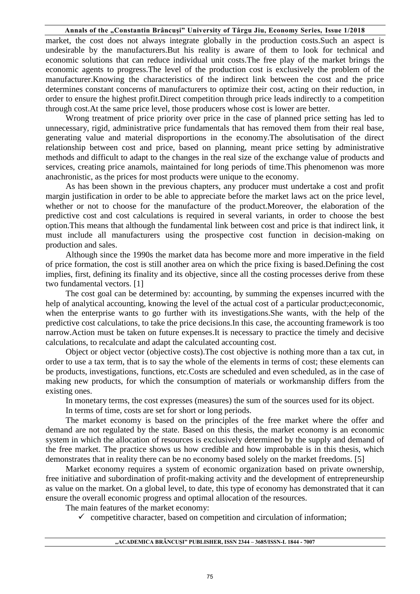market, the cost does not always integrate globally in the production costs.Such an aspect is undesirable by the manufacturers.But his reality is aware of them to look for technical and economic solutions that can reduce individual unit costs.The free play of the market brings the economic agents to progress.The level of the production cost is exclusively the problem of the manufacturer.Knowing the characteristics of the indirect link between the cost and the price determines constant concerns of manufacturers to optimize their cost, acting on their reduction, in order to ensure the highest profit.Direct competition through price leads indirectly to a competition through cost.At the same price level, those producers whose cost is lower are better.

Wrong treatment of price priority over price in the case of planned price setting has led to unnecessary, rigid, administrative price fundamentals that has removed them from their real base, generating value and material disproportions in the economy.The absolutisation of the direct relationship between cost and price, based on planning, meant price setting by administrative methods and difficult to adapt to the changes in the real size of the exchange value of products and services, creating price anamols, maintained for long periods of time.This phenomenon was more anachronistic, as the prices for most products were unique to the economy.

As has been shown in the previous chapters, any producer must undertake a cost and profit margin justification in order to be able to appreciate before the market laws act on the price level, whether or not to choose for the manufacture of the product.Moreover, the elaboration of the predictive cost and cost calculations is required in several variants, in order to choose the best option.This means that although the fundamental link between cost and price is that indirect link, it must include all manufacturers using the prospective cost function in decision-making on production and sales.

Although since the 1990s the market data has become more and more imperative in the field of price formation, the cost is still another area on which the price fixing is based.Defining the cost implies, first, defining its finality and its objective, since all the costing processes derive from these two fundamental vectors. [1]

The cost goal can be determined by: accounting, by summing the expenses incurred with the help of analytical accounting, knowing the level of the actual cost of a particular product;economic, when the enterprise wants to go further with its investigations.She wants, with the help of the predictive cost calculations, to take the price decisions.In this case, the accounting framework is too narrow.Action must be taken on future expenses.It is necessary to practice the timely and decisive calculations, to recalculate and adapt the calculated accounting cost.

Object or object vector (objective costs).The cost objective is nothing more than a tax cut, in order to use a tax term, that is to say the whole of the elements in terms of cost; these elements can be products, investigations, functions, etc.Costs are scheduled and even scheduled, as in the case of making new products, for which the consumption of materials or workmanship differs from the existing ones.

In monetary terms, the cost expresses (measures) the sum of the sources used for its object.

In terms of time, costs are set for short or long periods.

The market economy is based on the principles of the free market where the offer and demand are not regulated by the state. Based on this thesis, the market economy is an economic system in which the allocation of resources is exclusively determined by the supply and demand of the free market. The practice shows us how credible and how improbable is in this thesis, which demonstrates that in reality there can be no economy based solely on the market freedoms. [5]

Market economy requires a system of economic organization based on private ownership, free initiative and subordination of profit-making activity and the development of entrepreneurship as value on the market. On a global level, to date, this type of economy has demonstrated that it can ensure the overall economic progress and optimal allocation of the resources.

The main features of the market economy:

 $\checkmark$  competitive character, based on competition and circulation of information;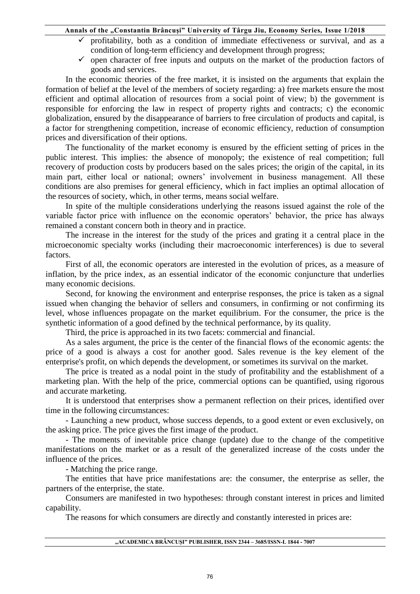- profitability, both as a condition of immediate effectiveness or survival, and as a condition of long-term efficiency and development through progress;
- $\checkmark$  open character of free inputs and outputs on the market of the production factors of goods and services.

In the economic theories of the free market, it is insisted on the arguments that explain the formation of belief at the level of the members of society regarding: a) free markets ensure the most efficient and optimal allocation of resources from a social point of view; b) the government is responsible for enforcing the law in respect of property rights and contracts; c) the economic globalization, ensured by the disappearance of barriers to free circulation of products and capital, is a factor for strengthening competition, increase of economic efficiency, reduction of consumption prices and diversification of their options.

The functionality of the market economy is ensured by the efficient setting of prices in the public interest. This implies: the absence of monopoly; the existence of real competition; full recovery of production costs by producers based on the sales prices; the origin of the capital, in its main part, either local or national; owners' involvement in business management. All these conditions are also premises for general efficiency, which in fact implies an optimal allocation of the resources of society, which, in other terms, means social welfare.

In spite of the multiple considerations underlying the reasons issued against the role of the variable factor price with influence on the economic operators' behavior, the price has always remained a constant concern both in theory and in practice.

The increase in the interest for the study of the prices and grating it a central place in the microeconomic specialty works (including their macroeconomic interferences) is due to several factors.

First of all, the economic operators are interested in the evolution of prices, as a measure of inflation, by the price index, as an essential indicator of the economic conjuncture that underlies many economic decisions.

Second, for knowing the environment and enterprise responses, the price is taken as a signal issued when changing the behavior of sellers and consumers, in confirming or not confirming its level, whose influences propagate on the market equilibrium. For the consumer, the price is the synthetic information of a good defined by the technical performance, by its quality.

Third, the price is approached in its two facets: commercial and financial.

As a sales argument, the price is the center of the financial flows of the economic agents: the price of a good is always a cost for another good. Sales revenue is the key element of the enterprise's profit, on which depends the development, or sometimes its survival on the market.

The price is treated as a nodal point in the study of profitability and the establishment of a marketing plan. With the help of the price, commercial options can be quantified, using rigorous and accurate marketing.

It is understood that enterprises show a permanent reflection on their prices, identified over time in the following circumstances:

- Launching a new product, whose success depends, to a good extent or even exclusively, on the asking price. The price gives the first image of the product.

- The moments of inevitable price change (update) due to the change of the competitive manifestations on the market or as a result of the generalized increase of the costs under the influence of the prices.

- Matching the price range.

The entities that have price manifestations are: the consumer, the enterprise as seller, the partners of the enterprise, the state.

Consumers are manifested in two hypotheses: through constant interest in prices and limited capability.

The reasons for which consumers are directly and constantly interested in prices are:

#### **"ACADEMICA BRÂNCUŞI" PUBLISHER, ISSN 2344 – 3685/ISSN-L 1844 - 7007**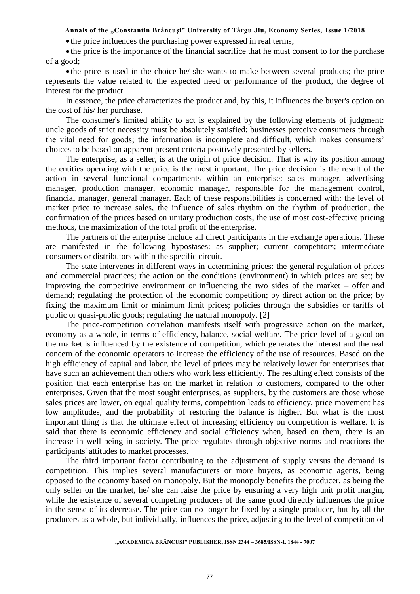• the price influences the purchasing power expressed in real terms;

 the price is the importance of the financial sacrifice that he must consent to for the purchase of a good;

 the price is used in the choice he/ she wants to make between several products; the price represents the value related to the expected need or performance of the product, the degree of interest for the product.

In essence, the price characterizes the product and, by this, it influences the buyer's option on the cost of his/ her purchase.

The consumer's limited ability to act is explained by the following elements of judgment: uncle goods of strict necessity must be absolutely satisfied; businesses perceive consumers through the vital need for goods; the information is incomplete and difficult, which makes consumers' choices to be based on apparent present criteria positively presented by sellers.

The enterprise, as a seller, is at the origin of price decision. That is why its position among the entities operating with the price is the most important. The price decision is the result of the action in several functional compartments within an enterprise: sales manager, advertising manager, production manager, economic manager, responsible for the management control, financial manager, general manager. Each of these responsibilities is concerned with: the level of market price to increase sales, the influence of sales rhythm on the rhythm of production, the confirmation of the prices based on unitary production costs, the use of most cost-effective pricing methods, the maximization of the total profit of the enterprise.

The partners of the enterprise include all direct participants in the exchange operations. These are manifested in the following hypostases: as supplier; current competitors; intermediate consumers or distributors within the specific circuit.

The state intervenes in different ways in determining prices: the general regulation of prices and commercial practices; the action on the conditions (environment) in which prices are set; by improving the competitive environment or influencing the two sides of the market – offer and demand; regulating the protection of the economic competition; by direct action on the price; by fixing the maximum limit or minimum limit prices; policies through the subsidies or tariffs of public or quasi-public goods; regulating the natural monopoly. [2]

The price-competition correlation manifests itself with progressive action on the market, economy as a whole, in terms of efficiency, balance, social welfare. The price level of a good on the market is influenced by the existence of competition, which generates the interest and the real concern of the economic operators to increase the efficiency of the use of resources. Based on the high efficiency of capital and labor, the level of prices may be relatively lower for enterprises that have such an achievement than others who work less efficiently. The resulting effect consists of the position that each enterprise has on the market in relation to customers, compared to the other enterprises. Given that the most sought enterprises, as suppliers, by the customers are those whose sales prices are lower, on equal quality terms, competition leads to efficiency, price movement has low amplitudes, and the probability of restoring the balance is higher. But what is the most important thing is that the ultimate effect of increasing efficiency on competition is welfare. It is said that there is economic efficiency and social efficiency when, based on them, there is an increase in well-being in society. The price regulates through objective norms and reactions the participants' attitudes to market processes.

The third important factor contributing to the adjustment of supply versus the demand is competition. This implies several manufacturers or more buyers, as economic agents, being opposed to the economy based on monopoly. But the monopoly benefits the producer, as being the only seller on the market, he/ she can raise the price by ensuring a very high unit profit margin, while the existence of several competing producers of the same good directly influences the price in the sense of its decrease. The price can no longer be fixed by a single producer, but by all the producers as a whole, but individually, influences the price, adjusting to the level of competition of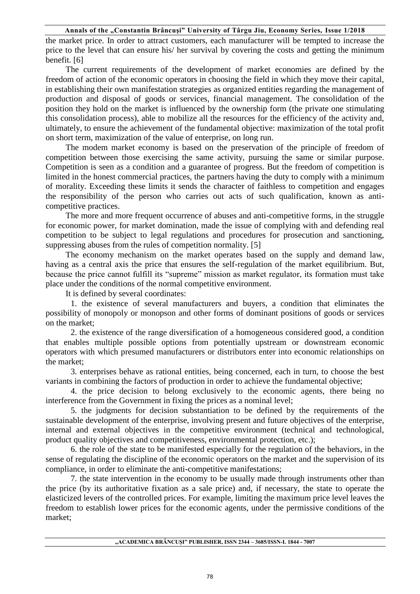the market price. In order to attract customers, each manufacturer will be tempted to increase the price to the level that can ensure his/ her survival by covering the costs and getting the minimum benefit. [6]

The current requirements of the development of market economies are defined by the freedom of action of the economic operators in choosing the field in which they move their capital, in establishing their own manifestation strategies as organized entities regarding the management of production and disposal of goods or services, financial management. The consolidation of the position they hold on the market is influenced by the ownership form (the private one stimulating this consolidation process), able to mobilize all the resources for the efficiency of the activity and, ultimately, to ensure the achievement of the fundamental objective: maximization of the total profit on short term, maximization of the value of enterprise, on long run.

The modem market economy is based on the preservation of the principle of freedom of competition between those exercising the same activity, pursuing the same or similar purpose. Competition is seen as a condition and a guarantee of progress. But the freedom of competition is limited in the honest commercial practices, the partners having the duty to comply with a minimum of morality. Exceeding these limits it sends the character of faithless to competition and engages the responsibility of the person who carries out acts of such qualification, known as anticompetitive practices.

The more and more frequent occurrence of abuses and anti-competitive forms, in the struggle for economic power, for market domination, made the issue of complying with and defending real competition to be subject to legal regulations and procedures for prosecution and sanctioning, suppressing abuses from the rules of competition normality. [5]

The economy mechanism on the market operates based on the supply and demand law, having as a central axis the price that ensures the self-regulation of the market equilibrium. But, because the price cannot fulfill its "supreme" mission as market regulator, its formation must take place under the conditions of the normal competitive environment.

It is defined by several coordinates:

1. the existence of several manufacturers and buyers, a condition that eliminates the possibility of monopoly or monopson and other forms of dominant positions of goods or services on the market;

2. the existence of the range diversification of a homogeneous considered good, a condition that enables multiple possible options from potentially upstream or downstream economic operators with which presumed manufacturers or distributors enter into economic relationships on the market;

3. enterprises behave as rational entities, being concerned, each in turn, to choose the best variants in combining the factors of production in order to achieve the fundamental objective;

4. the price decision to belong exclusively to the economic agents, there being no interference from the Government in fixing the prices as a nominal level;

5. the judgments for decision substantiation to be defined by the requirements of the sustainable development of the enterprise, involving present and future objectives of the enterprise, internal and external objectives in the competitive environment (technical and technological, product quality objectives and competitiveness, environmental protection, etc.);

6. the role of the state to be manifested especially for the regulation of the behaviors, in the sense of regulating the discipline of the economic operators on the market and the supervision of its compliance, in order to eliminate the anti-competitive manifestations;

7. the state intervention in the economy to be usually made through instruments other than the price (by its authoritative fixation as a sale price) and, if necessary, the state to operate the elasticized levers of the controlled prices. For example, limiting the maximum price level leaves the freedom to establish lower prices for the economic agents, under the permissive conditions of the market;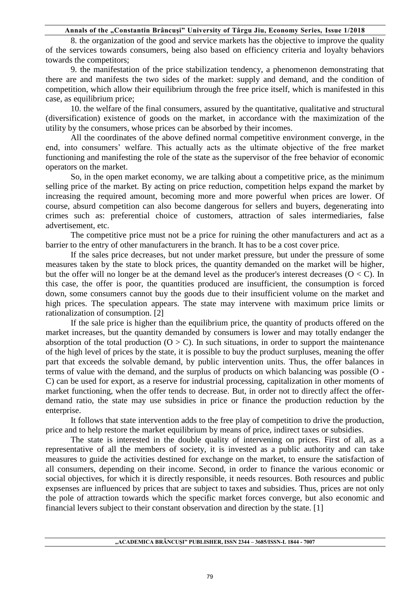8. the organization of the good and service markets has the objective to improve the quality of the services towards consumers, being also based on efficiency criteria and loyalty behaviors towards the competitors;

9. the manifestation of the price stabilization tendency, a phenomenon demonstrating that there are and manifests the two sides of the market: supply and demand, and the condition of competition, which allow their equilibrium through the free price itself, which is manifested in this case, as equilibrium price;

10. the welfare of the final consumers, assured by the quantitative, qualitative and structural (diversification) existence of goods on the market, in accordance with the maximization of the utility by the consumers, whose prices can be absorbed by their incomes.

All the coordinates of the above defined normal competitive environment converge, in the end, into consumers' welfare. This actually acts as the ultimate objective of the free market functioning and manifesting the role of the state as the supervisor of the free behavior of economic operators on the market.

So, in the open market economy, we are talking about a competitive price, as the minimum selling price of the market. By acting on price reduction, competition helps expand the market by increasing the required amount, becoming more and more powerful when prices are lower. Of course, absurd competition can also become dangerous for sellers and buyers, degenerating into crimes such as: preferential choice of customers, attraction of sales intermediaries, false advertisement, etc.

The competitive price must not be a price for ruining the other manufacturers and act as a barrier to the entry of other manufacturers in the branch. It has to be a cost cover price.

If the sales price decreases, but not under market pressure, but under the pressure of some measures taken by the state to block prices, the quantity demanded on the market will be higher, but the offer will no longer be at the demand level as the producer's interest decreases ( $O < C$ ). In this case, the offer is poor, the quantities produced are insufficient, the consumption is forced down, some consumers cannot buy the goods due to their insufficient volume on the market and high prices. The speculation appears. The state may intervene with maximum price limits or rationalization of consumption. [2]

If the sale price is higher than the equilibrium price, the quantity of products offered on the market increases, but the quantity demanded by consumers is lower and may totally endanger the absorption of the total production  $(O > C)$ . In such situations, in order to support the maintenance of the high level of prices by the state, it is possible to buy the product surpluses, meaning the offer part that exceeds the solvable demand, by public intervention units. Thus, the offer balances in terms of value with the demand, and the surplus of products on which balancing was possible (O - C) can be used for export, as a reserve for industrial processing, capitalization in other moments of market functioning, when the offer tends to decrease. But, in order not to directly affect the offerdemand ratio, the state may use subsidies in price or finance the production reduction by the enterprise.

It follows that state intervention adds to the free play of competition to drive the production, price and to help restore the market equilibrium by means of price, indirect taxes or subsidies.

The state is interested in the double quality of intervening on prices. First of all, as a representative of all the members of society, it is invested as a public authority and can take measures to guide the activities destined for exchange on the market, to ensure the satisfaction of all consumers, depending on their income. Second, in order to finance the various economic or social objectives, for which it is directly responsible, it needs resources. Both resources and public expsenses are influenced by prices that are subject to taxes and subsidies. Thus, prices are not only the pole of attraction towards which the specific market forces converge, but also economic and financial levers subject to their constant observation and direction by the state. [1]